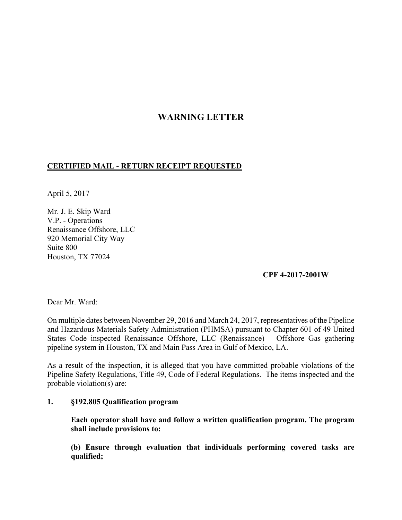# **WARNING LETTER**

## **CERTIFIED MAIL - RETURN RECEIPT REQUESTED**

April 5, 2017

Mr. J. E. Skip Ward V.P. - Operations Renaissance Offshore, LLC 920 Memorial City Way Suite 800 Houston, TX 77024

### **CPF 4-2017-2001W**

Dear Mr. Ward:

On multiple dates between November 29, 2016 and March 24, 2017, representatives of the Pipeline and Hazardous Materials Safety Administration (PHMSA) pursuant to Chapter 601 of 49 United States Code inspected Renaissance Offshore, LLC (Renaissance) – Offshore Gas gathering pipeline system in Houston, TX and Main Pass Area in Gulf of Mexico, LA.

As a result of the inspection, it is alleged that you have committed probable violations of the Pipeline Safety Regulations, Title 49, Code of Federal Regulations. The items inspected and the probable violation(s) are:

### **1. §192.805 Qualification program**

**Each operator shall have and follow a written qualification program. The program shall include provisions to:** 

**(b) Ensure through evaluation that individuals performing covered tasks are qualified;**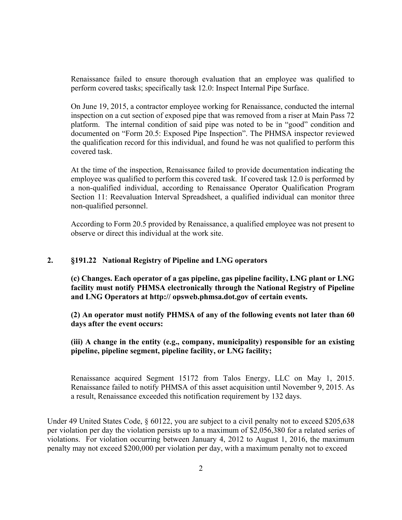Renaissance failed to ensure thorough evaluation that an employee was qualified to perform covered tasks; specifically task 12.0: Inspect Internal Pipe Surface.

On June 19, 2015, a contractor employee working for Renaissance, conducted the internal inspection on a cut section of exposed pipe that was removed from a riser at Main Pass 72 platform. The internal condition of said pipe was noted to be in "good" condition and documented on "Form 20.5: Exposed Pipe Inspection". The PHMSA inspector reviewed the qualification record for this individual, and found he was not qualified to perform this covered task.

At the time of the inspection, Renaissance failed to provide documentation indicating the employee was qualified to perform this covered task. If covered task 12.0 is performed by a non-qualified individual, according to Renaissance Operator Qualification Program Section 11: Reevaluation Interval Spreadsheet, a qualified individual can monitor three non-qualified personnel.

According to Form 20.5 provided by Renaissance, a qualified employee was not present to observe or direct this individual at the work site.

#### **2. §191.22 National Registry of Pipeline and LNG operators**

**(c) Changes. Each operator of a gas pipeline, gas pipeline facility, LNG plant or LNG facility must notify PHMSA electronically through the National Registry of Pipeline and LNG Operators at http:// opsweb.phmsa.dot.gov of certain events.**

**(2) An operator must notify PHMSA of any of the following events not later than 60 days after the event occurs:** 

### **(iii) A change in the entity (e.g., company, municipality) responsible for an existing pipeline, pipeline segment, pipeline facility, or LNG facility;**

Renaissance acquired Segment 15172 from Talos Energy, LLC on May 1, 2015. Renaissance failed to notify PHMSA of this asset acquisition until November 9, 2015. As a result, Renaissance exceeded this notification requirement by 132 days.

Under 49 United States Code, § 60122, you are subject to a civil penalty not to exceed \$205,638 per violation per day the violation persists up to a maximum of \$2,056,380 for a related series of violations. For violation occurring between January 4, 2012 to August 1, 2016, the maximum penalty may not exceed \$200,000 per violation per day, with a maximum penalty not to exceed